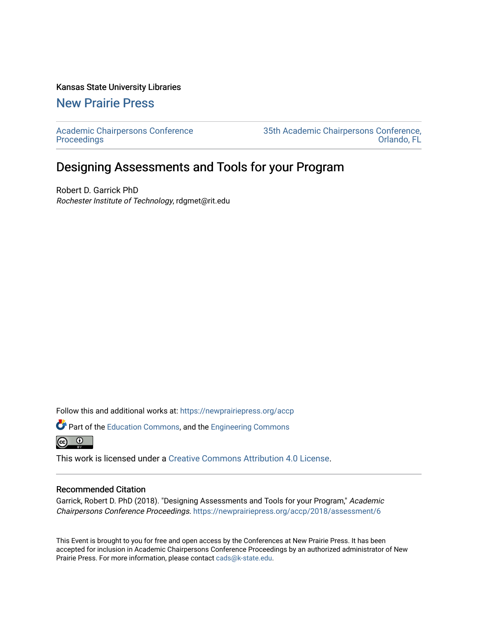## Kansas State University Libraries

[New Prairie Press](https://newprairiepress.org/) 

[Academic Chairpersons Conference](https://newprairiepress.org/accp)  **Proceedings** 

[35th Academic Chairpersons Conference,](https://newprairiepress.org/accp/2018)  [Orlando, FL](https://newprairiepress.org/accp/2018) 

## Designing Assessments and Tools for your Program

Robert D. Garrick PhD Rochester Institute of Technology, rdgmet@rit.edu

Follow this and additional works at: [https://newprairiepress.org/accp](https://newprairiepress.org/accp?utm_source=newprairiepress.org%2Faccp%2F2018%2Fassessment%2F6&utm_medium=PDF&utm_campaign=PDFCoverPages) 

Part of the [Education Commons](http://network.bepress.com/hgg/discipline/784?utm_source=newprairiepress.org%2Faccp%2F2018%2Fassessment%2F6&utm_medium=PDF&utm_campaign=PDFCoverPages), and the [Engineering Commons](http://network.bepress.com/hgg/discipline/217?utm_source=newprairiepress.org%2Faccp%2F2018%2Fassessment%2F6&utm_medium=PDF&utm_campaign=PDFCoverPages)  $\odot$ ര

This work is licensed under a [Creative Commons Attribution 4.0 License](https://creativecommons.org/licenses/by/4.0/).

## Recommended Citation

Garrick, Robert D. PhD (2018). "Designing Assessments and Tools for your Program," Academic Chairpersons Conference Proceedings. <https://newprairiepress.org/accp/2018/assessment/6>

This Event is brought to you for free and open access by the Conferences at New Prairie Press. It has been accepted for inclusion in Academic Chairpersons Conference Proceedings by an authorized administrator of New Prairie Press. For more information, please contact [cads@k-state.edu.](mailto:cads@k-state.edu)